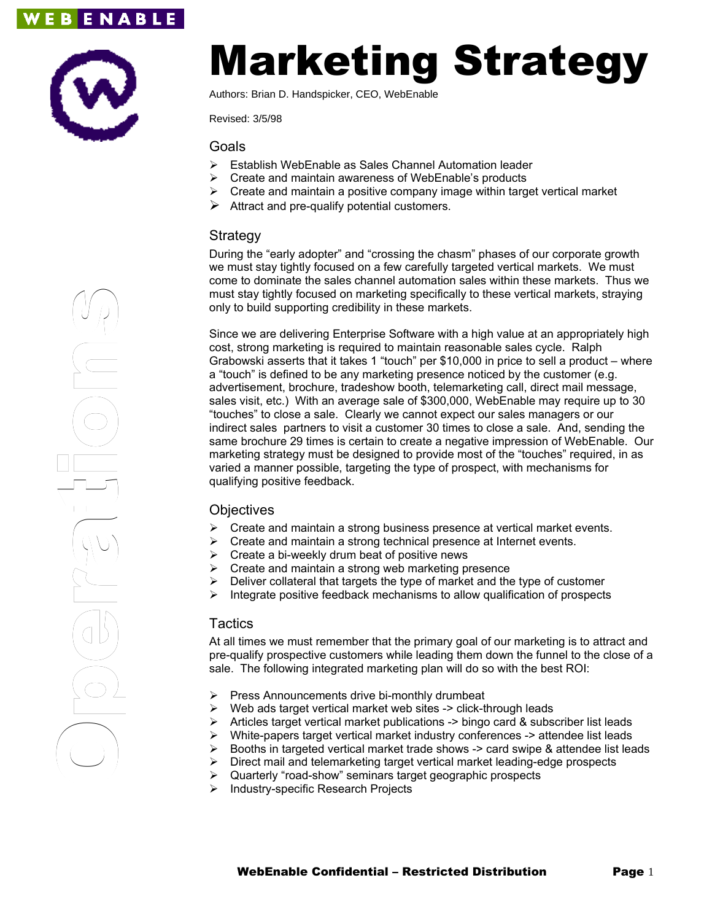# **EBENABLE**



# Marketing Strategy

Authors: Brian D. Handspicker, CEO, WebEnable

Revised: 3/5/98

Goals

- Establish WebEnable as Sales Channel Automation leader
- $\triangleright$  Create and maintain awareness of WebEnable's products
- $\triangleright$  Create and maintain a positive company image within target vertical market
- $\triangleright$  Attract and pre-qualify potential customers.

#### Strategy

During the "early adopter" and "crossing the chasm" phases of our corporate growth we must stay tightly focused on a few carefully targeted vertical markets. We must come to dominate the sales channel automation sales within these markets. Thus we must stay tightly focused on marketing specifically to these vertical markets, straying only to build supporting credibility in these markets.

Since we are delivering Enterprise Software with a high value at an appropriately high cost, strong marketing is required to maintain reasonable sales cycle. Ralph Grabowski asserts that it takes 1 "touch" per \$10,000 in price to sell a product – where a "touch" is defined to be any marketing presence noticed by the customer (e.g. advertisement, brochure, tradeshow booth, telemarketing call, direct mail message, sales visit, etc.) With an average sale of \$300,000, WebEnable may require up to 30 "touches" to close a sale. Clearly we cannot expect our sales managers or our indirect sales partners to visit a customer 30 times to close a sale. And, sending the same brochure 29 times is certain to create a negative impression of WebEnable. Our marketing strategy must be designed to provide most of the "touches" required, in as varied a manner possible, targeting the type of prospect, with mechanisms for qualifying positive feedback.

#### **Objectives**

- $\triangleright$  Create and maintain a strong business presence at vertical market events.
- $\triangleright$  Create and maintain a strong technical presence at Internet events.
- $\triangleright$  Create a bi-weekly drum beat of positive news
- $\triangleright$  Create and maintain a strong web marketing presence
- Deliver collateral that targets the type of market and the type of customer
- Integrate positive feedback mechanisms to allow qualification of prospects

## **Tactics**

At all times we must remember that the primary goal of our marketing is to attract and pre-qualify prospective customers while leading them down the funnel to the close of a sale. The following integrated marketing plan will do so with the best ROI:

- $\triangleright$  Press Announcements drive bi-monthly drumbeat
- $\triangleright$  Web ads target vertical market web sites -> click-through leads
- > Articles target vertical market publications -> bingo card & subscriber list leads
	-
- → Mittles target vertical market publications -> bingo card & subscriber inst leads<br>
→ White-papers target vertical market industry conferences -> attendee list leads<br>
→ Direct mail and telemarketing target vertical marke Booths in targeted vertical market trade shows -> card swipe & attendee list leads
	- Direct mail and telemarketing target vertical market leading-edge prospects
	-
	- > Industry-specific Research Projects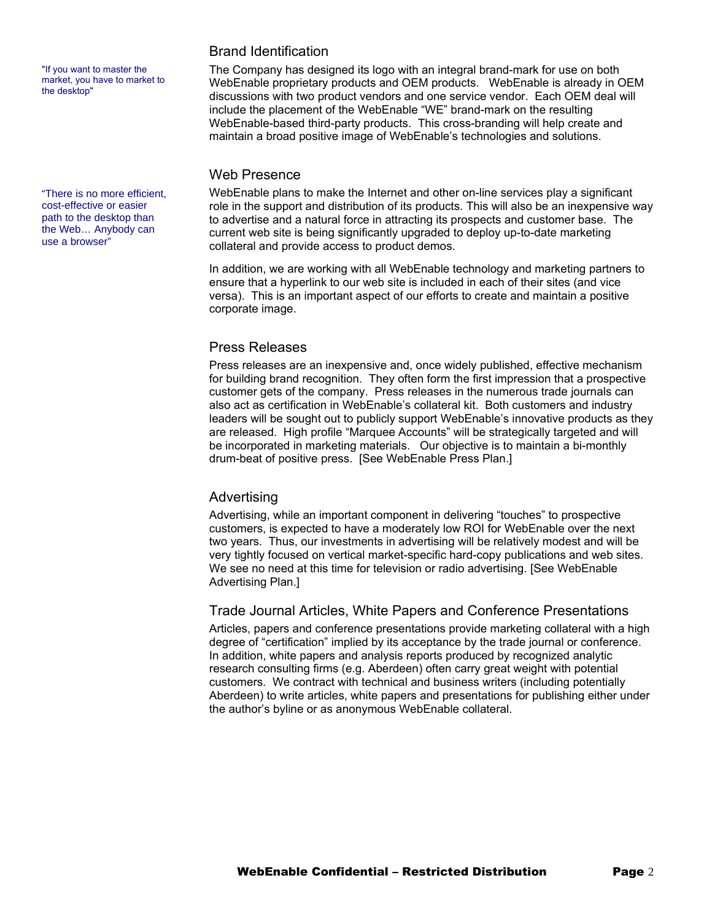"If you want to master the market, you have to market to the desktop"

"There is no more efficient, cost-effective or easier path to the desktop than the Web… Anybody can use a browser"

### Brand Identification

The Company has designed its logo with an integral brand-mark for use on both WebEnable proprietary products and OEM products. WebEnable is already in OEM discussions with two product vendors and one service vendor. Each OEM deal will include the placement of the WebEnable "WE" brand-mark on the resulting WebEnable-based third-party products. This cross-branding will help create and maintain a broad positive image of WebEnable's technologies and solutions.

#### Web Presence

WebEnable plans to make the Internet and other on-line services play a significant role in the support and distribution of its products. This will also be an inexpensive way to advertise and a natural force in attracting its prospects and customer base. The current web site is being significantly upgraded to deploy up-to-date marketing collateral and provide access to product demos.

In addition, we are working with all WebEnable technology and marketing partners to ensure that a hyperlink to our web site is included in each of their sites (and vice versa). This is an important aspect of our efforts to create and maintain a positive corporate image.

#### Press Releases

Press releases are an inexpensive and, once widely published, effective mechanism for building brand recognition. They often form the first impression that a prospective customer gets of the company. Press releases in the numerous trade journals can also act as certification in WebEnable's collateral kit. Both customers and industry leaders will be sought out to publicly support WebEnable's innovative products as they are released. High profile "Marquee Accounts" will be strategically targeted and will be incorporated in marketing materials. Our objective is to maintain a bi-monthly drum-beat of positive press. [See WebEnable Press Plan.]

#### Advertising

Advertising, while an important component in delivering "touches" to prospective customers, is expected to have a moderately low ROI for WebEnable over the next two years. Thus, our investments in advertising will be relatively modest and will be very tightly focused on vertical market-specific hard-copy publications and web sites. We see no need at this time for television or radio advertising. [See WebEnable Advertising Plan.]

#### Trade Journal Articles, White Papers and Conference Presentations

Articles, papers and conference presentations provide marketing collateral with a high degree of "certification" implied by its acceptance by the trade journal or conference. In addition, white papers and analysis reports produced by recognized analytic research consulting firms (e.g. Aberdeen) often carry great weight with potential customers. We contract with technical and business writers (including potentially Aberdeen) to write articles, white papers and presentations for publishing either under the author's byline or as anonymous WebEnable collateral.